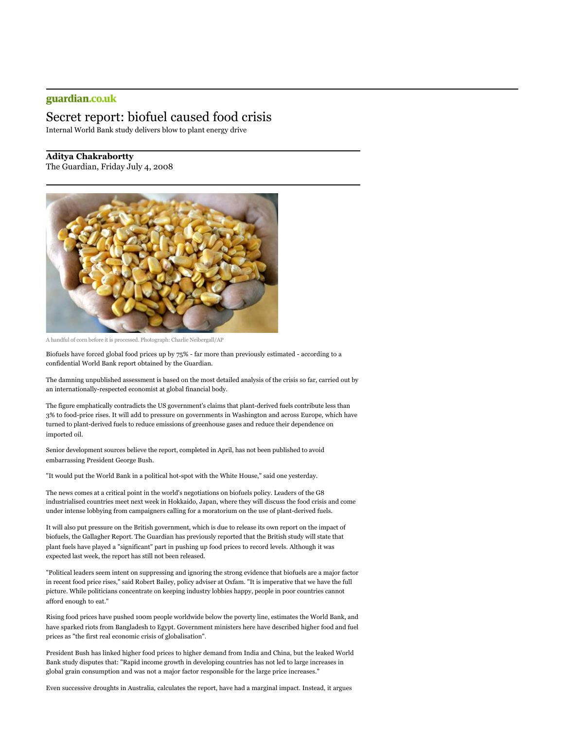## guardian.co.uk

## Secret report: biofuel caused food crisis

Internal World Bank study delivers blow to plant energy drive

**Aditya Chakrabortty**

The Guardian, Friday July 4, 2008



A handful of corn before it is processed. Photograph: Charlie Neibergall/AP

Biofuels have forced global food prices up by 75% - far more than previously estimated - according to a confidential World Bank report obtained by the Guardian.

The damning unpublished assessment is based on the most detailed analysis of the crisis so far, carried out by an internationally-respected economist at global financial body.

The figure emphatically contradicts the US government's claims that plant-derived fuels contribute less than 3% to food-price rises. It will add to pressure on governments in Washington and across Europe, which have turned to plant-derived fuels to reduce emissions of greenhouse gases and reduce their dependence on imported oil.

Senior development sources believe the report, completed in April, has not been published to avoid embarrassing President George Bush.

"It would put the World Bank in a political hot-spot with the White House," said one yesterday.

The news comes at a critical point in the world's negotiations on biofuels policy. Leaders of the G8 industrialised countries meet next week in Hokkaido, Japan, where they will discuss the food crisis and come under intense lobbying from campaigners calling for a moratorium on the use of plant-derived fuels.

It will also put pressure on the British government, which is due to release its own report on the impact of biofuels, the Gallagher Report. The Guardian has previously reported that the British study will state that plant fuels have played a "significant" part in pushing up food prices to record levels. Although it was expected last week, the report has still not been released.

"Political leaders seem intent on suppressing and ignoring the strong evidence that biofuels are a major factor in recent food price rises," said Robert Bailey, policy adviser at Oxfam. "It is imperative that we have the full picture. While politicians concentrate on keeping industry lobbies happy, people in poor countries cannot afford enough to eat."

Rising food prices have pushed 100m people worldwide below the poverty line, estimates the World Bank, and have sparked riots from Bangladesh to Egypt. Government ministers here have described higher food and fuel prices as "the first real economic crisis of globalisation".

President Bush has linked higher food prices to higher demand from India and China, but the leaked World Bank study disputes that: "Rapid income growth in developing countries has not led to large increases in global grain consumption and was not a major factor responsible for the large price increases."

Even successive droughts in Australia, calculates the report, have had a marginal impact. Instead, it argues